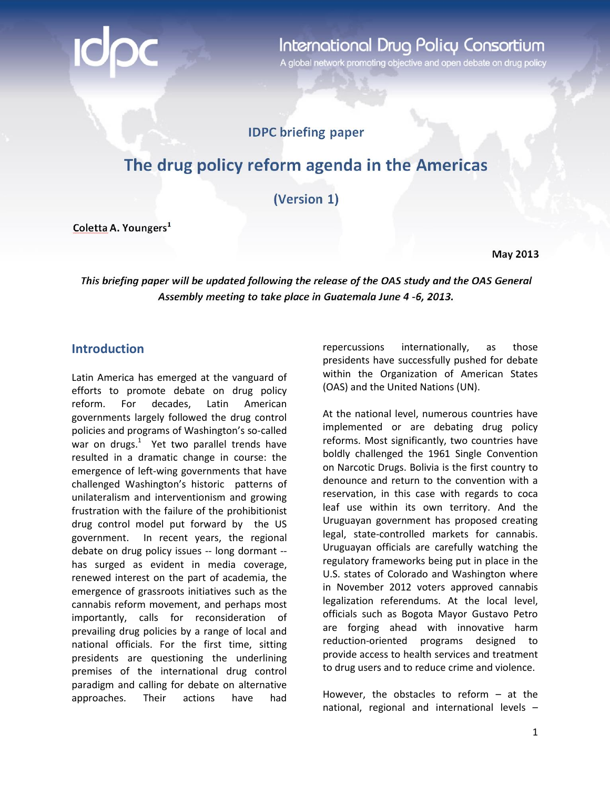International Drug Policy Consortium A global network promoting objective and open debate on drug policy

## **IDPC briefing paper**

# The drug policy reform agenda in the Americas

(Version 1)

Coletta A. Youngers<sup>1</sup>

May 2013

This briefing paper will be updated following the release of the OAS study and the OAS General Assembly meeting to take place in Guatemala June 4 -6, 2013.

### **Introduction**

Latin America has emerged at the vanguard of efforts to promote debate on drug policy reform. For decades, Latin American governments largely followed the drug control policies and programs of Washington's so-called war on drugs.<sup>1</sup> Yet two parallel trends have resulted in a dramatic change in course: the emergence of left-wing governments that have challenged Washington's historic patterns of unilateralism and interventionism and growing frustration with the failure of the prohibitionist drug control model put forward by the US government. In recent years, the regional debate on drug policy issues -- long dormant - has surged as evident in media coverage, renewed interest on the part of academia, the emergence of grassroots initiatives such as the cannabis reform movement, and perhaps most importantly, calls for reconsideration of prevailing drug policies by a range of local and national officials. For the first time, sitting presidents are questioning the underlining premises of the international drug control paradigm and calling for debate on alternative approaches. Their actions have had

repercussions internationally, as those presidents have successfully pushed for debate within the Organization of American States (OAS) and the United Nations (UN).

At the national level, numerous countries have implemented or are debating drug policy reforms. Most significantly, two countries have boldly challenged the 1961 Single Convention on Narcotic Drugs. Bolivia is the first country to denounce and return to the convention with a reservation, in this case with regards to coca leaf use within its own territory. And the Uruguayan government has proposed creating legal, state-controlled markets for cannabis. Uruguayan officials are carefully watching the regulatory frameworks being put in place in the U.S. states of Colorado and Washington where in November 2012 voters approved cannabis legalization referendums. At the local level, officials such as Bogota Mayor Gustavo Petro are forging ahead with innovative harm reduction-oriented programs designed to provide access to health services and treatment to drug users and to reduce crime and violence.

However, the obstacles to reform – at the national, regional and international levels –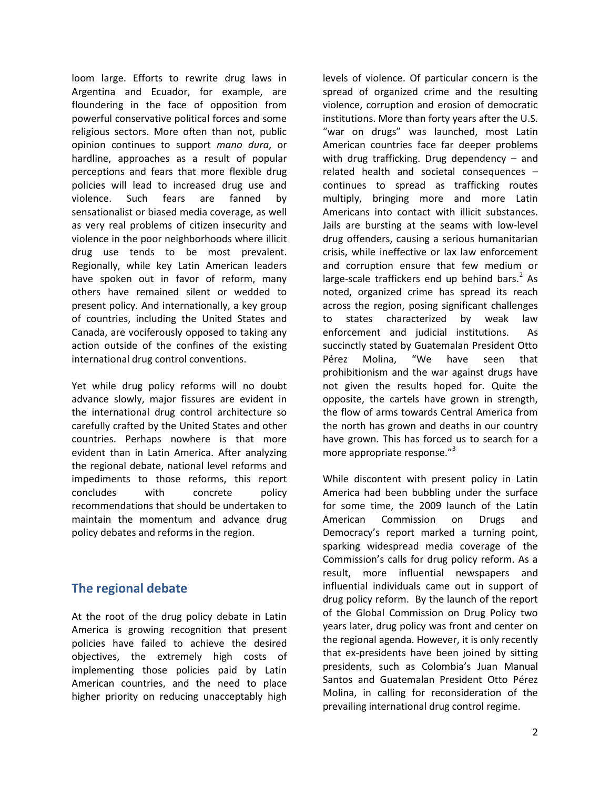loom large. Efforts to rewrite drug laws in Argentina and Ecuador, for example, are floundering in the face of opposition from powerful conservative political forces and some religious sectors. More often than not, public opinion continues to support *mano dura*, or hardline, approaches as a result of popular perceptions and fears that more flexible drug policies will lead to increased drug use and violence. Such fears are fanned by sensationalist or biased media coverage, as well as very real problems of citizen insecurity and violence in the poor neighborhoods where illicit drug use tends to be most prevalent. Regionally, while key Latin American leaders have spoken out in favor of reform, many others have remained silent or wedded to present policy. And internationally, a key group of countries, including the United States and Canada, are vociferously opposed to taking any action outside of the confines of the existing international drug control conventions.

Yet while drug policy reforms will no doubt advance slowly, major fissures are evident in the international drug control architecture so carefully crafted by the United States and other countries. Perhaps nowhere is that more evident than in Latin America. After analyzing the regional debate, national level reforms and impediments to those reforms, this report concludes with concrete policy recommendations that should be undertaken to maintain the momentum and advance drug policy debates and reforms in the region.

## **The regional debate**

At the root of the drug policy debate in Latin America is growing recognition that present policies have failed to achieve the desired objectives, the extremely high costs of implementing those policies paid by Latin American countries, and the need to place higher priority on reducing unacceptably high

levels of violence. Of particular concern is the spread of organized crime and the resulting violence, corruption and erosion of democratic institutions. More than forty years after the U.S. "war on drugs" was launched, most Latin American countries face far deeper problems with drug trafficking. Drug dependency – and related health and societal consequences – continues to spread as trafficking routes multiply, bringing more and more Latin Americans into contact with illicit substances. Jails are bursting at the seams with low-level drug offenders, causing a serious humanitarian crisis, while ineffective or lax law enforcement and corruption ensure that few medium or large-scale traffickers end up behind bars. $2$  As noted, organized crime has spread its reach across the region, posing significant challenges to states characterized by weak law enforcement and judicial institutions. As succinctly stated by Guatemalan President Otto Pérez Molina, "We have seen that prohibitionism and the war against drugs have not given the results hoped for. Quite the opposite, the cartels have grown in strength, the flow of arms towards Central America from the north has grown and deaths in our country have grown. This has forced us to search for a more appropriate response."<sup>3</sup>

While discontent with present policy in Latin America had been bubbling under the surface for some time, the 2009 launch of the Latin American Commission on Drugs and Democracy's report marked a turning point, sparking widespread media coverage of the Commission's calls for drug policy reform. As a result, more influential newspapers and influential individuals came out in support of drug policy reform. By the launch of the report of the Global Commission on Drug Policy two years later, drug policy was front and center on the regional agenda. However, it is only recently that ex-presidents have been joined by sitting presidents, such as Colombia's Juan Manual Santos and Guatemalan President Otto Pérez Molina, in calling for reconsideration of the prevailing international drug control regime.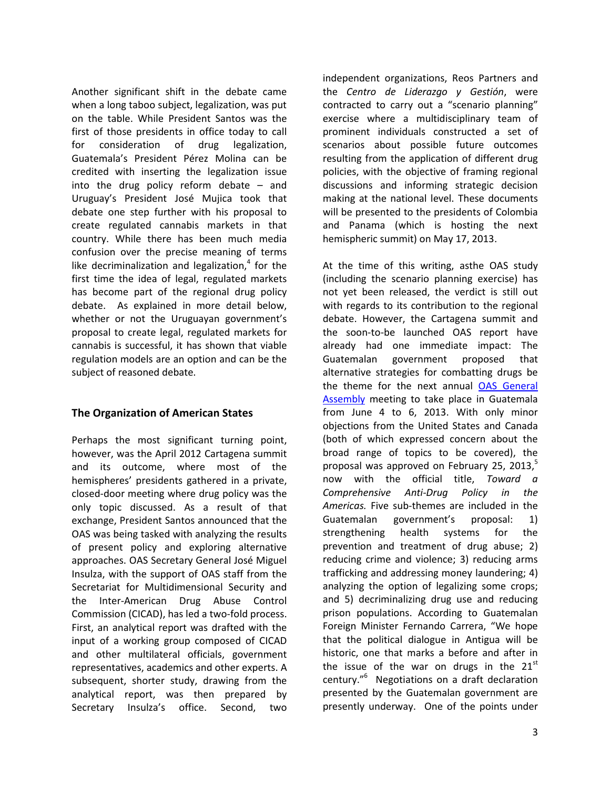Another significant shift in the debate came when a long taboo subject, legalization, was put on the table. While President Santos was the first of those presidents in office today to call for consideration of drug legalization, Guatemala's President Pérez Molina can be credited with inserting the legalization issue into the drug policy reform debate – and Uruguay's President José Mujica took that debate one step further with his proposal to create regulated cannabis markets in that country. While there has been much media confusion over the precise meaning of terms like decriminalization and legalization, $4$  for the first time the idea of legal, regulated markets has become part of the regional drug policy debate. As explained in more detail below, whether or not the Uruguayan government's proposal to create legal, regulated markets for cannabis is successful, it has shown that viable regulation models are an option and can be the subject of reasoned debate.

### **The Organization of American States**

Perhaps the most significant turning point, however, was the April 2012 Cartagena summit and its outcome, where most of the hemispheres' presidents gathered in a private, closed-door meeting where drug policy was the only topic discussed. As a result of that exchange, President Santos announced that the OAS was being tasked with analyzing the results of present policy and exploring alternative approaches. OAS Secretary General José Miguel Insulza, with the support of OAS staff from the Secretariat for Multidimensional Security and the Inter-American Drug Abuse Control Commission (CICAD), has led a two-fold process. First, an analytical report was drafted with the input of a working group composed of CICAD and other multilateral officials, government representatives, academics and other experts. A subsequent, shorter study, drawing from the analytical report, was then prepared by Secretary Insulza's office. Second, two

independent organizations, Reos Partners and the *Centro de Liderazgo y Gestión*, were contracted to carry out a "scenario planning" exercise where a multidisciplinary team of prominent individuals constructed a set of scenarios about possible future outcomes resulting from the application of different drug policies, with the objective of framing regional discussions and informing strategic decision making at the national level. These documents will be presented to the presidents of Colombia and Panama (which is hosting the next hemispheric summit) on May 17, 2013.

At the time of this writing, asthe OAS study (including the scenario planning exercise) has not yet been released, the verdict is still out with regards to its contribution to the regional debate. However, the Cartagena summit and the soon-to-be launched OAS report have already had one immediate impact: The Guatemalan government proposed that alternative strategies for combatting drugs be the theme for the next annual [OAS General](http://www.oas.org/en/43ga/press_manual.asp)  [Assembly](http://www.oas.org/en/43ga/press_manual.asp) meeting to take place in Guatemala from June 4 to 6, 2013. With only minor objections from the United States and Canada (both of which expressed concern about the broad range of topics to be covered), the proposal was approved on February 25, 2013, $5$ now with the official title, *Toward a Comprehensive Anti-Drug Policy in the Americas.* Five sub-themes are included in the Guatemalan government's proposal: 1) strengthening health systems for the prevention and treatment of drug abuse; 2) reducing crime and violence; 3) reducing arms trafficking and addressing money laundering; 4) analyzing the option of legalizing some crops; and 5) decriminalizing drug use and reducing prison populations. According to Guatemalan Foreign Minister Fernando Carrera, "We hope that the political dialogue in Antigua will be historic, one that marks a before and after in the issue of the war on drugs in the  $21<sup>st</sup>$ century."<sup>6</sup> Negotiations on a draft declaration presented by the Guatemalan government are presently underway. One of the points under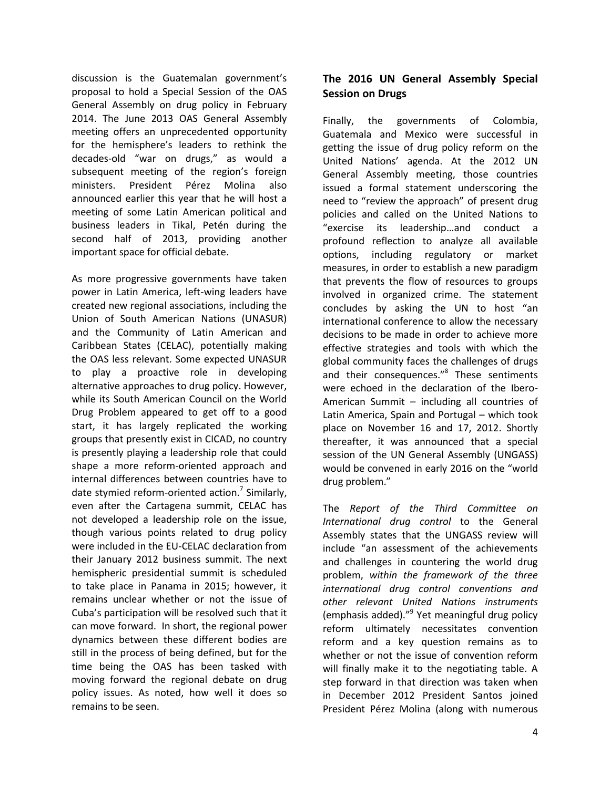discussion is the Guatemalan government's proposal to hold a Special Session of the OAS General Assembly on drug policy in February 2014. The June 2013 OAS General Assembly meeting offers an unprecedented opportunity for the hemisphere's leaders to rethink the decades-old "war on drugs," as would a subsequent meeting of the region's foreign ministers. President Pérez Molina also announced earlier this year that he will host a meeting of some Latin American political and business leaders in Tikal, Petén during the second half of 2013, providing another important space for official debate.

As more progressive governments have taken power in Latin America, left-wing leaders have created new regional associations, including the Union of South American Nations (UNASUR) and the Community of Latin American and Caribbean States (CELAC), potentially making the OAS less relevant. Some expected UNASUR to play a proactive role in developing alternative approaches to drug policy. However, while its South American Council on the World Drug Problem appeared to get off to a good start, it has largely replicated the working groups that presently exist in CICAD, no country is presently playing a leadership role that could shape a more reform-oriented approach and internal differences between countries have to date stymied reform-oriented action.<sup>7</sup> Similarly, even after the Cartagena summit, CELAC has not developed a leadership role on the issue, though various points related to drug policy were included in the EU-CELAC declaration from their January 2012 business summit. The next hemispheric presidential summit is scheduled to take place in Panama in 2015; however, it remains unclear whether or not the issue of Cuba's participation will be resolved such that it can move forward. In short, the regional power dynamics between these different bodies are still in the process of being defined, but for the time being the OAS has been tasked with moving forward the regional debate on drug policy issues. As noted, how well it does so remains to be seen.

Finally, the governments of Colombia, Guatemala and Mexico were successful in getting the issue of drug policy reform on the United Nations' agenda. At the 2012 UN General Assembly meeting, those countries issued a formal statement underscoring the need to "review the approach" of present drug policies and called on the United Nations to "exercise its leadership…and conduct a profound reflection to analyze all available options, including regulatory or market measures, in order to establish a new paradigm that prevents the flow of resources to groups involved in organized crime. The statement concludes by asking the UN to host "an international conference to allow the necessary decisions to be made in order to achieve more effective strategies and tools with which the global community faces the challenges of drugs and their consequences."<sup>8</sup> These sentiments were echoed in the declaration of the Ibero-American Summit – including all countries of Latin America, Spain and Portugal – which took place on November 16 and 17, 2012. Shortly thereafter, it was announced that a special session of the UN General Assembly (UNGASS) would be convened in early 2016 on the "world drug problem."

The *Report of the Third Committee on International drug control* to the General Assembly states that the UNGASS review will include "an assessment of the achievements and challenges in countering the world drug problem, *within the framework of the three international drug control conventions and other relevant United Nations instruments* (emphasis added)."<sup>9</sup> Yet meaningful drug policy reform ultimately necessitates convention reform and a key question remains as to whether or not the issue of convention reform will finally make it to the negotiating table. A step forward in that direction was taken when in December 2012 President Santos joined President Pérez Molina (along with numerous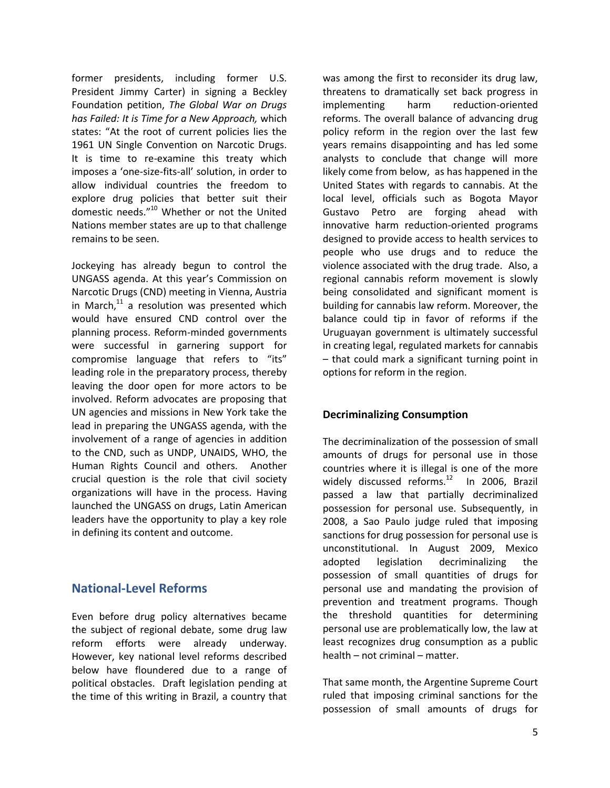former presidents, including former U.S. President Jimmy Carter) in signing a Beckley Foundation petition, *The Global War on Drugs has Failed: It is Time for a New Approach,* which states: "At the root of current policies lies the 1961 UN Single Convention on Narcotic Drugs. It is time to re-examine this treaty which imposes a 'one-size-fits-all' solution, in order to allow individual countries the freedom to explore drug policies that better suit their domestic needs."<sup>10</sup> Whether or not the United Nations member states are up to that challenge remains to be seen.

Jockeying has already begun to control the UNGASS agenda. At this year's Commission on Narcotic Drugs (CND) meeting in Vienna, Austria in March, $11$  a resolution was presented which would have ensured CND control over the planning process. Reform-minded governments were successful in garnering support for compromise language that refers to "its" leading role in the preparatory process, thereby leaving the door open for more actors to be involved. Reform advocates are proposing that UN agencies and missions in New York take the lead in preparing the UNGASS agenda, with the involvement of a range of agencies in addition to the CND, such as UNDP, UNAIDS, WHO, the Human Rights Council and others. Another crucial question is the role that civil society organizations will have in the process. Having launched the UNGASS on drugs, Latin American leaders have the opportunity to play a key role in defining its content and outcome.

## **National-Level Reforms**

Even before drug policy alternatives became the subject of regional debate, some drug law reform efforts were already underway. However, key national level reforms described below have floundered due to a range of political obstacles. Draft legislation pending at the time of this writing in Brazil, a country that

was among the first to reconsider its drug law, threatens to dramatically set back progress in implementing harm reduction-oriented reforms. The overall balance of advancing drug policy reform in the region over the last few years remains disappointing and has led some analysts to conclude that change will more likely come from below, as has happened in the United States with regards to cannabis. At the local level, officials such as Bogota Mayor Gustavo Petro are forging ahead with innovative harm reduction-oriented programs designed to provide access to health services to people who use drugs and to reduce the violence associated with the drug trade. Also, a regional cannabis reform movement is slowly being consolidated and significant moment is building for cannabis law reform. Moreover, the balance could tip in favor of reforms if the Uruguayan government is ultimately successful in creating legal, regulated markets for cannabis – that could mark a significant turning point in options for reform in the region.

## **Decriminalizing Consumption**

The decriminalization of the possession of small amounts of drugs for personal use in those countries where it is illegal is one of the more widely discussed reforms.<sup>12</sup> In 2006, Brazil passed a law that partially decriminalized possession for personal use. Subsequently, in 2008, a Sao Paulo judge ruled that imposing sanctions for drug possession for personal use is unconstitutional. In August 2009, Mexico adopted legislation decriminalizing the possession of small quantities of drugs for personal use and mandating the provision of prevention and treatment programs. Though the threshold quantities for determining personal use are problematically low, the law at least recognizes drug consumption as a public health – not criminal – matter.

That same month, the Argentine Supreme Court ruled that imposing criminal sanctions for the possession of small amounts of drugs for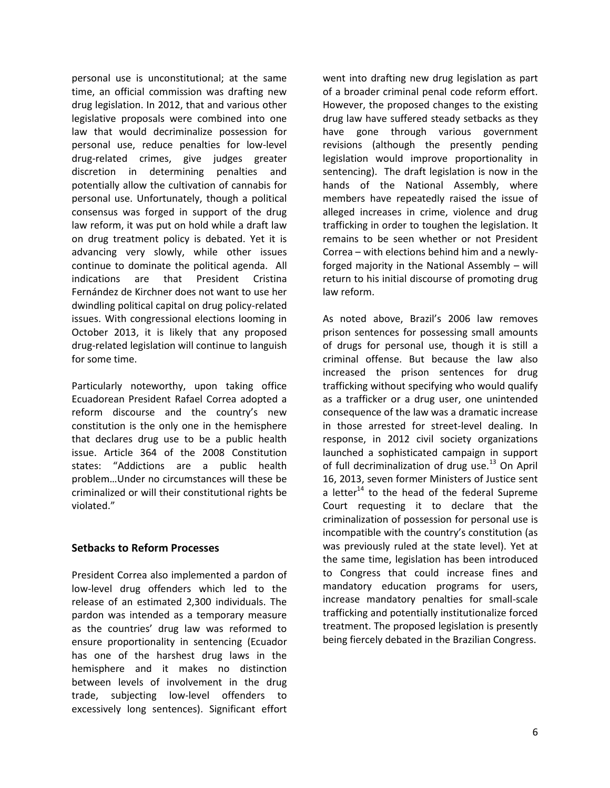personal use is unconstitutional; at the same time, an official commission was drafting new drug legislation. In 2012, that and various other legislative proposals were combined into one law that would decriminalize possession for personal use, reduce penalties for low-level drug-related crimes, give judges greater discretion in determining penalties and potentially allow the cultivation of cannabis for personal use. Unfortunately, though a political consensus was forged in support of the drug law reform, it was put on hold while a draft law on drug treatment policy is debated. Yet it is advancing very slowly, while other issues continue to dominate the political agenda. All indications are that President Cristina Fernández de Kirchner does not want to use her dwindling political capital on drug policy-related issues. With congressional elections looming in October 2013, it is likely that any proposed drug-related legislation will continue to languish for some time.

Particularly noteworthy, upon taking office Ecuadorean President Rafael Correa adopted a reform discourse and the country's new constitution is the only one in the hemisphere that declares drug use to be a public health issue. Article 364 of the 2008 Constitution states: "Addictions are a public health problem…Under no circumstances will these be criminalized or will their constitutional rights be violated."

#### **Setbacks to Reform Processes**

President Correa also implemented a pardon of low-level drug offenders which led to the release of an estimated 2,300 individuals. The pardon was intended as a temporary measure as the countries' drug law was reformed to ensure proportionality in sentencing (Ecuador has one of the harshest drug laws in the hemisphere and it makes no distinction between levels of involvement in the drug trade, subjecting low-level offenders to excessively long sentences). Significant effort

went into drafting new drug legislation as part of a broader criminal penal code reform effort. However, the proposed changes to the existing drug law have suffered steady setbacks as they have gone through various government revisions (although the presently pending legislation would improve proportionality in sentencing). The draft legislation is now in the hands of the National Assembly, where members have repeatedly raised the issue of alleged increases in crime, violence and drug trafficking in order to toughen the legislation. It remains to be seen whether or not President Correa – with elections behind him and a newlyforged majority in the National Assembly – will return to his initial discourse of promoting drug law reform.

As noted above, Brazil's 2006 law removes prison sentences for possessing small amounts of drugs for personal use, though it is still a criminal offense. But because the law also increased the prison sentences for drug trafficking without specifying who would qualify as a trafficker or a drug user, one unintended consequence of the law was a dramatic increase in those arrested for street-level dealing. In response, in 2012 civil society organizations launched a sophisticated campaign in support of full decriminalization of drug use. $13$  On April 16, 2013, seven former Ministers of Justice sent a letter $14$  to the head of the federal Supreme Court requesting it to declare that the criminalization of possession for personal use is incompatible with the country's constitution (as was previously ruled at the state level). Yet at the same time, legislation has been introduced to Congress that could increase fines and mandatory education programs for users, increase mandatory penalties for small-scale trafficking and potentially institutionalize forced treatment. The proposed legislation is presently being fiercely debated in the Brazilian Congress.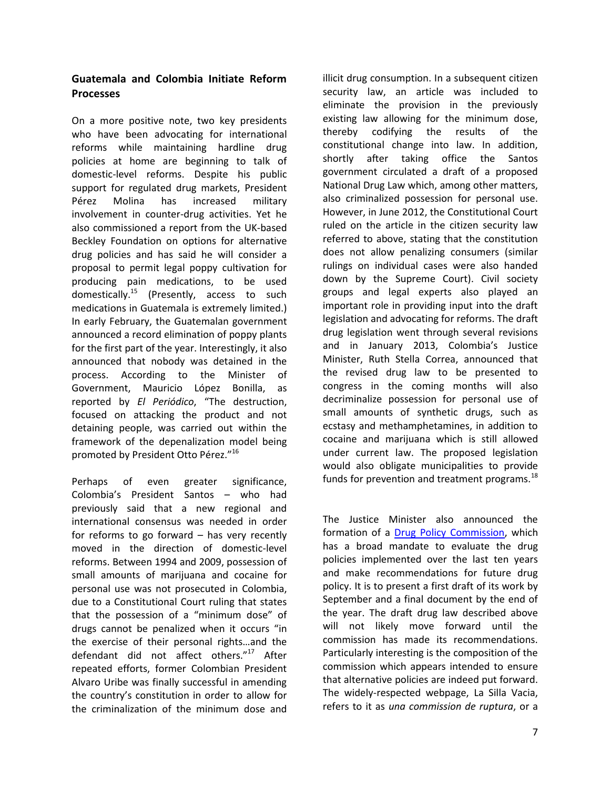## **Guatemala and Colombia Initiate Reform Processes**

On a more positive note, two key presidents who have been advocating for international reforms while maintaining hardline drug policies at home are beginning to talk of domestic-level reforms. Despite his public support for regulated drug markets, President Pérez Molina has increased military involvement in counter-drug activities. Yet he also commissioned a report from the UK-based Beckley Foundation on options for alternative drug policies and has said he will consider a proposal to permit legal poppy cultivation for producing pain medications, to be used domestically.<sup>15</sup> (Presently, access to such medications in Guatemala is extremely limited.) In early February, the Guatemalan government announced a record elimination of poppy plants for the first part of the year. Interestingly, it also announced that nobody was detained in the process. According to the Minister of Government, Mauricio López Bonilla, as reported by *El Periódico*, "The destruction, focused on attacking the product and not detaining people, was carried out within the framework of the depenalization model being promoted by President Otto Pérez." 16

Perhaps of even greater significance, Colombia's President Santos – who had previously said that a new regional and international consensus was needed in order for reforms to go forward – has very recently moved in the direction of domestic-level reforms. Between 1994 and 2009, possession of small amounts of marijuana and cocaine for personal use was not prosecuted in Colombia, due to a Constitutional Court ruling that states that the possession of a "minimum dose" of drugs cannot be penalized when it occurs "in the exercise of their personal rights…and the defendant did not affect others."<sup>17</sup> After repeated efforts, former Colombian President Alvaro Uribe was finally successful in amending the country's constitution in order to allow for the criminalization of the minimum dose and

illicit drug consumption. In a subsequent citizen security law, an article was included to eliminate the provision in the previously existing law allowing for the minimum dose, thereby codifying the results of the constitutional change into law. In addition, shortly after taking office the Santos government circulated a draft of a proposed National Drug Law which, among other matters, also criminalized possession for personal use. However, in June 2012, the Constitutional Court ruled on the article in the citizen security law referred to above, stating that the constitution does not allow penalizing consumers (similar rulings on individual cases were also handed down by the Supreme Court). Civil society groups and legal experts also played an important role in providing input into the draft legislation and advocating for reforms. The draft drug legislation went through several revisions and in January 2013, Colombia's Justice Minister, Ruth Stella Correa, announced that the revised drug law to be presented to congress in the coming months will also decriminalize possession for personal use of small amounts of synthetic drugs, such as ecstasy and methamphetamines, in addition to cocaine and marijuana which is still allowed under current law. The proposed legislation would also obligate municipalities to provide funds for prevention and treatment programs. $^{18}$ 

The Justice Minister also announced the formation of a [Drug Policy Commission,](http://www.lasillavacia.com/historia/santos-comienza-aterrizar-su-discurso-internacional-sobre-las-drogas-41218) which has a broad mandate to evaluate the drug policies implemented over the last ten years and make recommendations for future drug policy. It is to present a first draft of its work by September and a final document by the end of the year. The draft drug law described above will not likely move forward until the commission has made its recommendations. Particularly interesting is the composition of the commission which appears intended to ensure that alternative policies are indeed put forward. The widely-respected webpage, La Silla Vacia, refers to it as *una commission de ruptura*, or a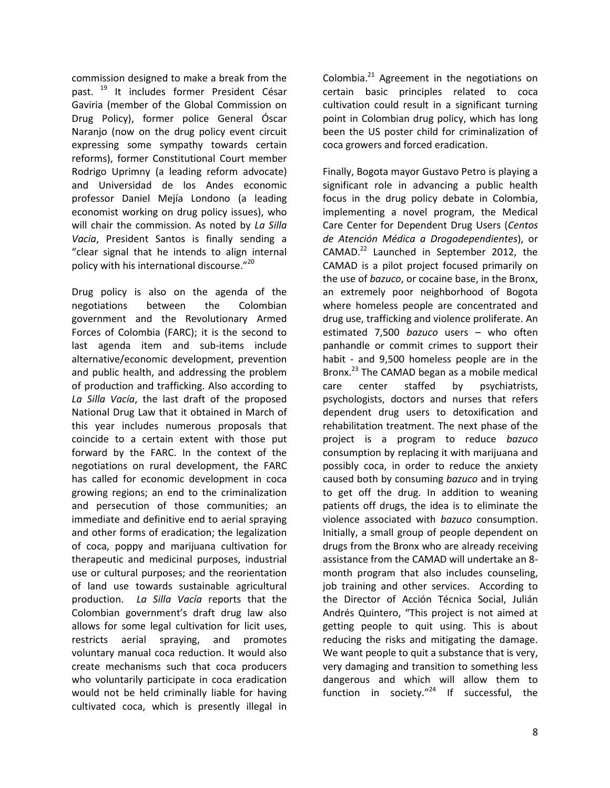commission designed to make a break from the past.<sup>19</sup> It includes former President César Gaviria (member of the Global Commission on Drug Policy), former police General Óscar Naranjo (now on the drug policy event circuit expressing some sympathy towards certain reforms), former Constitutional Court member Rodrigo Uprimny (a leading reform advocate) and Universidad de los Andes economic professor Daniel Mejía Londono (a leading economist working on drug policy issues), who will chair the commission. As noted by *La Silla Vacia*, President Santos is finally sending a "clear signal that he intends to align internal policy with his international discourse."<sup>20</sup>

Drug policy is also on the agenda of the negotiations between the Colombian government and the Revolutionary Armed Forces of Colombia (FARC); it is the second to last agenda item and sub-items include alternative/economic development, prevention and public health, and addressing the problem of production and trafficking. Also according to *La Silla Vacía*, the last draft of the proposed National Drug Law that it obtained in March of this year includes numerous proposals that coincide to a certain extent with those put forward by the FARC. In the context of the negotiations on rural development, the FARC has called for economic development in coca growing regions; an end to the criminalization and persecution of those communities; an immediate and definitive end to aerial spraying and other forms of eradication; the legalization of coca, poppy and marijuana cultivation for therapeutic and medicinal purposes, industrial use or cultural purposes; and the reorientation of land use towards sustainable agricultural production. *La Silla Vacía* reports that the Colombian government's draft drug law also allows for some legal cultivation for licit uses, restricts aerial spraying, and promotes voluntary manual coca reduction. It would also create mechanisms such that coca producers who voluntarily participate in coca eradication would not be held criminally liable for having cultivated coca, which is presently illegal in Colombia. $^{21}$  Agreement in the negotiations on certain basic principles related to coca cultivation could result in a significant turning point in Colombian drug policy, which has long been the US poster child for criminalization of coca growers and forced eradication.

Finally, Bogota mayor Gustavo Petro is playing a significant role in advancing a public health focus in the drug policy debate in Colombia, implementing a novel program, the Medical Care Center for Dependent Drug Users (*Centos de Atención Médica a Drogodependientes*), or CAMAD. <sup>22</sup> Launched in September 2012, the CAMAD is a pilot project focused primarily on the use of *bazuco*, or cocaine base, in the Bronx, an extremely poor neighborhood of Bogota where homeless people are concentrated and drug use, trafficking and violence proliferate. An estimated 7,500 *bazuco* users – who often panhandle or commit crimes to support their habit - and 9,500 homeless people are in the Bronx.<sup>23</sup> The CAMAD began as a mobile medical care center staffed by psychiatrists, psychologists, doctors and nurses that refers dependent drug users to detoxification and rehabilitation treatment. The next phase of the project is a program to reduce *bazuco* consumption by replacing it with marijuana and possibly coca, in order to reduce the anxiety caused both by consuming *bazuco* and in trying to get off the drug. In addition to weaning patients off drugs, the idea is to eliminate the violence associated with *bazuco* consumption. Initially, a small group of people dependent on drugs from the Bronx who are already receiving assistance from the CAMAD will undertake an 8 month program that also includes counseling, job training and other services. According to the Director of Acción Técnica Social, Julián Andrés Quintero, "This project is not aimed at getting people to quit using. This is about reducing the risks and mitigating the damage. We want people to quit a substance that is very, very damaging and transition to something less dangerous and which will allow them to function in society. $n^{24}$  If successful, the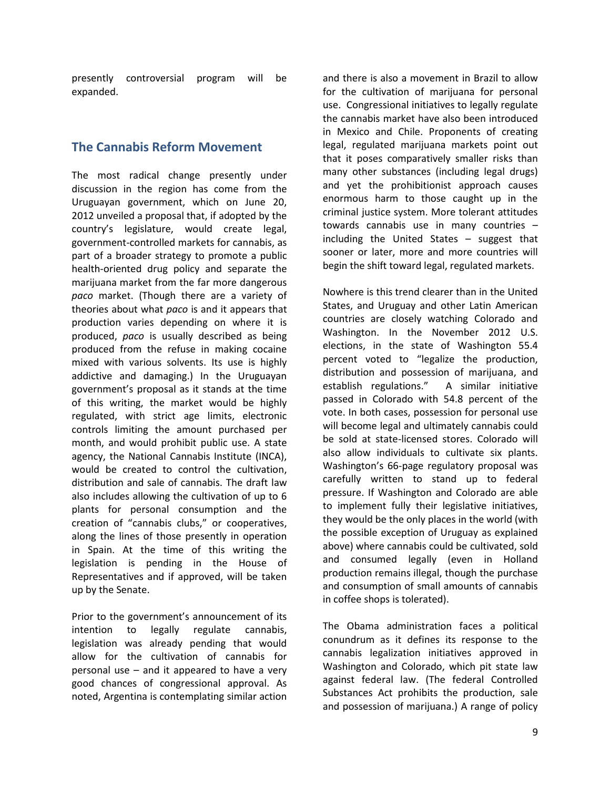presently controversial program will be expanded.

## **The Cannabis Reform Movement**

The most radical change presently under discussion in the region has come from the Uruguayan government, which on June 20, 2012 unveiled a proposal that, if adopted by the country's legislature, would create legal, government-controlled markets for cannabis, as part of a broader strategy to promote a public health-oriented drug policy and separate the marijuana market from the far more dangerous *paco* market. (Though there are a variety of theories about what *paco* is and it appears that production varies depending on where it is produced, *paco* is usually described as being produced from the refuse in making cocaine mixed with various solvents. Its use is highly addictive and damaging.) In the Uruguayan government's proposal as it stands at the time of this writing, the market would be highly regulated, with strict age limits, electronic controls limiting the amount purchased per month, and would prohibit public use. A state agency, the National Cannabis Institute (INCA), would be created to control the cultivation, distribution and sale of cannabis. The draft law also includes allowing the cultivation of up to 6 plants for personal consumption and the creation of "cannabis clubs," or cooperatives, along the lines of those presently in operation in Spain. At the time of this writing the legislation is pending in the House of Representatives and if approved, will be taken up by the Senate.

Prior to the government's announcement of its intention to legally regulate cannabis, legislation was already pending that would allow for the cultivation of cannabis for personal use – and it appeared to have a very good chances of congressional approval. As noted, Argentina is contemplating similar action

and there is also a movement in Brazil to allow for the cultivation of marijuana for personal use. Congressional initiatives to legally regulate the cannabis market have also been introduced in Mexico and Chile. Proponents of creating legal, regulated marijuana markets point out that it poses comparatively smaller risks than many other substances (including legal drugs) and yet the prohibitionist approach causes enormous harm to those caught up in the criminal justice system. More tolerant attitudes towards cannabis use in many countries – including the United States – suggest that sooner or later, more and more countries will begin the shift toward legal, regulated markets.

Nowhere is this trend clearer than in the United States, and Uruguay and other Latin American countries are closely watching Colorado and Washington. In the November 2012 U.S. elections, in the state of Washington 55.4 percent voted to "legalize the production, distribution and possession of marijuana, and establish regulations." A similar initiative passed in Colorado with 54.8 percent of the vote. In both cases, possession for personal use will become legal and ultimately cannabis could be sold at state-licensed stores. Colorado will also allow individuals to cultivate six plants. Washington's 66-page regulatory proposal was carefully written to stand up to federal pressure. If Washington and Colorado are able to implement fully their legislative initiatives, they would be the only places in the world (with the possible exception of Uruguay as explained above) where cannabis could be cultivated, sold and consumed legally (even in Holland production remains illegal, though the purchase and consumption of small amounts of cannabis in coffee shops is tolerated).

The Obama administration faces a political conundrum as it defines its response to the cannabis legalization initiatives approved in Washington and Colorado, which pit state law against federal law. (The federal Controlled Substances Act prohibits the production, sale and possession of marijuana.) A range of policy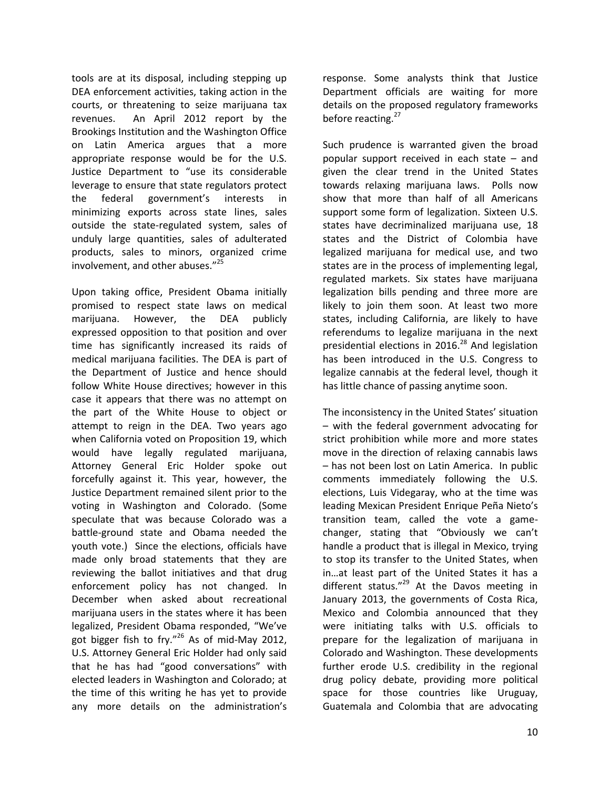tools are at its disposal, including stepping up DEA enforcement activities, taking action in the courts, or threatening to seize marijuana tax revenues. An April 2012 report by the Brookings Institution and the Washington Office on Latin America argues that a more appropriate response would be for the U.S. Justice Department to "use its considerable leverage to ensure that state regulators protect the federal government's interests in minimizing exports across state lines, sales outside the state-regulated system, sales of unduly large quantities, sales of adulterated products, sales to minors, organized crime involvement, and other abuses."<sup>25</sup>

Upon taking office, President Obama initially promised to respect state laws on medical marijuana. However, the DEA publicly expressed opposition to that position and over time has significantly increased its raids of medical marijuana facilities. The DEA is part of the Department of Justice and hence should follow White House directives; however in this case it appears that there was no attempt on the part of the White House to object or attempt to reign in the DEA. Two years ago when California voted on Proposition 19, which would have legally regulated marijuana, Attorney General Eric Holder spoke out forcefully against it. This year, however, the Justice Department remained silent prior to the voting in Washington and Colorado. (Some speculate that was because Colorado was a battle-ground state and Obama needed the youth vote.) Since the elections, officials have made only broad statements that they are reviewing the ballot initiatives and that drug enforcement policy has not changed. In December when asked about recreational marijuana users in the states where it has been legalized, President Obama responded, "We've got bigger fish to fry."<sup>26</sup> As of mid-May 2012, U.S. Attorney General Eric Holder had only said that he has had "good conversations" with elected leaders in Washington and Colorado; at the time of this writing he has yet to provide any more details on the administration's

response. Some analysts think that Justice Department officials are waiting for more details on the proposed regulatory frameworks before reacting.<sup>27</sup>

Such prudence is warranted given the broad popular support received in each state – and given the clear trend in the United States towards relaxing marijuana laws. Polls now show that more than half of all Americans support some form of legalization. Sixteen U.S. states have decriminalized marijuana use, 18 states and the District of Colombia have legalized marijuana for medical use, and two states are in the process of implementing legal, regulated markets. Six states have marijuana legalization bills pending and three more are likely to join them soon. At least two more states, including California, are likely to have referendums to legalize marijuana in the next presidential elections in 2016. $^{28}$  And legislation has been introduced in the U.S. Congress to legalize cannabis at the federal level, though it has little chance of passing anytime soon.

The inconsistency in the United States' situation – with the federal government advocating for strict prohibition while more and more states move in the direction of relaxing cannabis laws – has not been lost on Latin America. In public comments immediately following the U.S. elections, Luis Videgaray, who at the time was leading Mexican President Enrique Peña Nieto's transition team, called the vote a gamechanger, stating that "Obviously we can't handle a product that is illegal in Mexico, trying to stop its transfer to the United States, when in…at least part of the United States it has a different status."<sup>29</sup> At the Davos meeting in January 2013, the governments of Costa Rica, Mexico and Colombia announced that they were initiating talks with U.S. officials to prepare for the legalization of marijuana in Colorado and Washington. These developments further erode U.S. credibility in the regional drug policy debate, providing more political space for those countries like Uruguay, Guatemala and Colombia that are advocating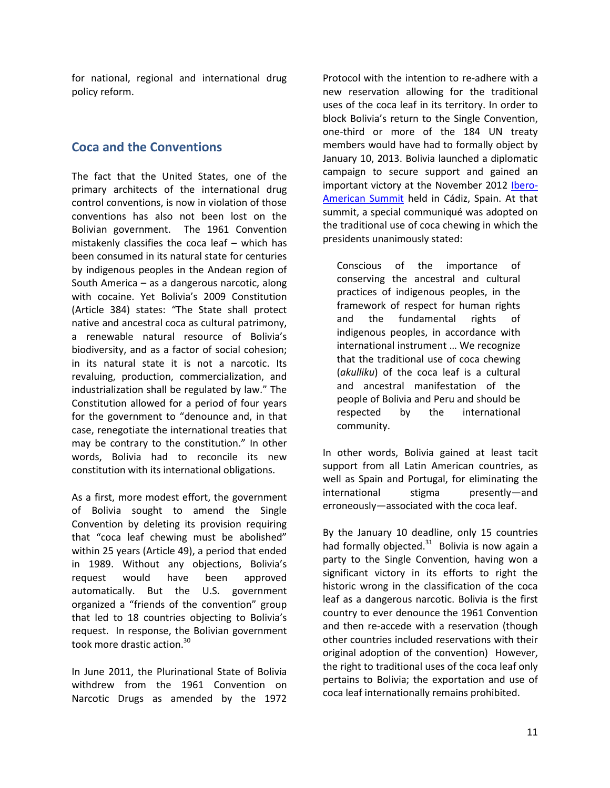for national, regional and international drug policy reform.

## **Coca and the Conventions**

The fact that the United States, one of the primary architects of the international drug control conventions, is now in violation of those conventions has also not been lost on the Bolivian government. The 1961 Convention mistakenly classifies the coca leaf – which has been consumed in its natural state for centuries by indigenous peoples in the Andean region of South America – as a dangerous narcotic, along with cocaine. Yet Bolivia's 2009 Constitution (Article 384) states: "The State shall protect native and ancestral coca as cultural patrimony, a renewable natural resource of Bolivia's biodiversity, and as a factor of social cohesion; in its natural state it is not a narcotic. Its revaluing, production, commercialization, and industrialization shall be regulated by law." The Constitution allowed for a period of four years for the government to "denounce and, in that case, renegotiate the international treaties that may be contrary to the constitution." In other words, Bolivia had to reconcile its new constitution with its international obligations.

As a first, more modest effort, the government of Bolivia sought to amend the Single Convention by deleting its provision requiring that "coca leaf chewing must be abolished" within 25 years (Article 49), a period that ended in 1989. Without any objections, Bolivia's request would have been approved automatically. But the U.S. government organized a "friends of the convention" group that led to 18 countries objecting to Bolivia's request. In response, the Bolivian government took more drastic action.<sup>30</sup>

In June 2011, the Plurinational State of Bolivia [withdrew](http://www.wola.org/news/bolivia_withdraws_from_the_un_single_convention_on_narcotic_drugs) from the 1961 Convention on Narcotic Drugs as amended by the 1972 Protocol with the intention to re-adhere with a new reservation allowing for the traditional uses of the coca leaf in its territory. In order to block Bolivia's return to the Single Convention, one-third or more of the 184 UN treaty members would have had to formally object by January 10, 2013. Bolivia launched a diplomatic campaign to secure support and gained an important victory at the November 2012 [Ibero-](http://segib.org/es/node/4788)[American Summit](http://segib.org/es/node/4788) held in Cádiz, Spain. At that summit, a special communiqué was adopted on the traditional use of coca chewing in which the presidents unanimously stated:

Conscious of the importance of conserving the ancestral and cultural practices of indigenous peoples, in the framework of respect for human rights and the fundamental rights of indigenous peoples, in accordance with international instrument … We recognize that the traditional use of coca chewing (*akulliku*) of the coca leaf is a cultural and ancestral manifestation of the people of Bolivia and Peru and should be respected by the international community.

In other words, Bolivia gained at least tacit support from all Latin American countries, as well as Spain and Portugal, for eliminating the international stigma presently—and erroneously—associated with the coca leaf.

By the January 10 deadline, [only 15 countries](http://www.wola.org/news/bolivia_wins_a_rightful_victory_on_the_coca_leaf)  [had formally objected.](http://www.wola.org/news/bolivia_wins_a_rightful_victory_on_the_coca_leaf)<sup>31</sup> Bolivia is now again a party to the Single Convention, having won a significant victory in its efforts to right the historic wrong in the classification of the coca leaf as a dangerous narcotic. Bolivia is the first country to ever denounce the 1961 Convention and then re-accede with a reservation (though other countries included reservations with their original adoption of the convention) However, the right to traditional uses of the coca leaf only pertains to Bolivia; the exportation and use of coca leaf internationally remains prohibited.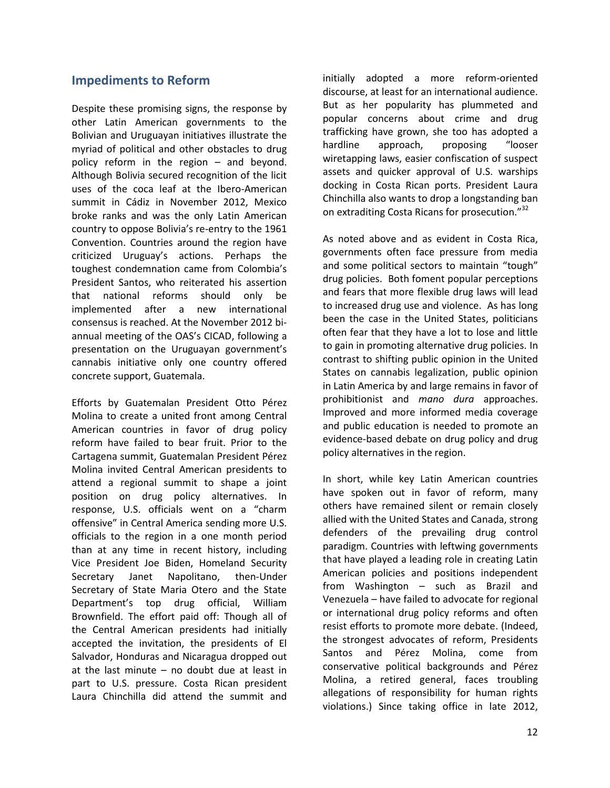## **Impediments to Reform**

Despite these promising signs, the response by other Latin American governments to the Bolivian and Uruguayan initiatives illustrate the myriad of political and other obstacles to drug policy reform in the region – and beyond. Although Bolivia secured recognition of the licit uses of the coca leaf at the Ibero-American summit in Cádiz in November 2012, Mexico broke ranks and was the only Latin American country to oppose Bolivia's re-entry to the 1961 Convention. Countries around the region have criticized Uruguay's actions. Perhaps the toughest condemnation came from Colombia's President Santos, who reiterated his assertion that national reforms should only be implemented after a new international consensus is reached. At the November 2012 biannual meeting of the OAS's CICAD, following a presentation on the Uruguayan government's cannabis initiative only one country offered concrete support, Guatemala.

Efforts by Guatemalan President Otto Pérez Molina to create a united front among Central American countries in favor of drug policy reform have failed to bear fruit. Prior to the Cartagena summit, Guatemalan President Pérez Molina invited Central American presidents to attend a regional summit to shape a joint position on drug policy alternatives. In response, U.S. officials went on a "charm offensive" in Central America sending more U.S. officials to the region in a one month period than at any time in recent history, including Vice President Joe Biden, Homeland Security Secretary Janet Napolitano, then-Under Secretary of State Maria Otero and the State Department's top drug official, William Brownfield. The effort paid off: Though all of the Central American presidents had initially accepted the invitation, the presidents of El Salvador, Honduras and Nicaragua dropped out at the last minute – no doubt due at least in part to U.S. pressure. Costa Rican president Laura Chinchilla did attend the summit and

initially adopted a more reform-oriented discourse, at least for an international audience. But as her popularity has plummeted and popular concerns about crime and drug trafficking have grown, she too has adopted a hardline approach, proposing "looser wiretapping laws, easier confiscation of suspect assets and quicker approval of U.S. warships docking in Costa Rican ports. President Laura Chinchilla also wants to drop a longstanding ban on extraditing Costa Ricans for prosecution."<sup>32</sup>

As noted above and as evident in Costa Rica, governments often face pressure from media and some political sectors to maintain "tough" drug policies. Both foment popular perceptions and fears that more flexible drug laws will lead to increased drug use and violence. As has long been the case in the United States, politicians often fear that they have a lot to lose and little to gain in promoting alternative drug policies. In contrast to shifting public opinion in the United States on cannabis legalization, public opinion in Latin America by and large remains in favor of prohibitionist and *mano dura* approaches. Improved and more informed media coverage and public education is needed to promote an evidence-based debate on drug policy and drug policy alternatives in the region.

In short, while key Latin American countries have spoken out in favor of reform, many others have remained silent or remain closely allied with the United States and Canada, strong defenders of the prevailing drug control paradigm. Countries with leftwing governments that have played a leading role in creating Latin American policies and positions independent from Washington – such as Brazil and Venezuela – have failed to advocate for regional or international drug policy reforms and often resist efforts to promote more debate. (Indeed, the strongest advocates of reform, Presidents Santos and Pérez Molina, come from conservative political backgrounds and Pérez Molina, a retired general, faces troubling allegations of responsibility for human rights violations.) Since taking office in late 2012,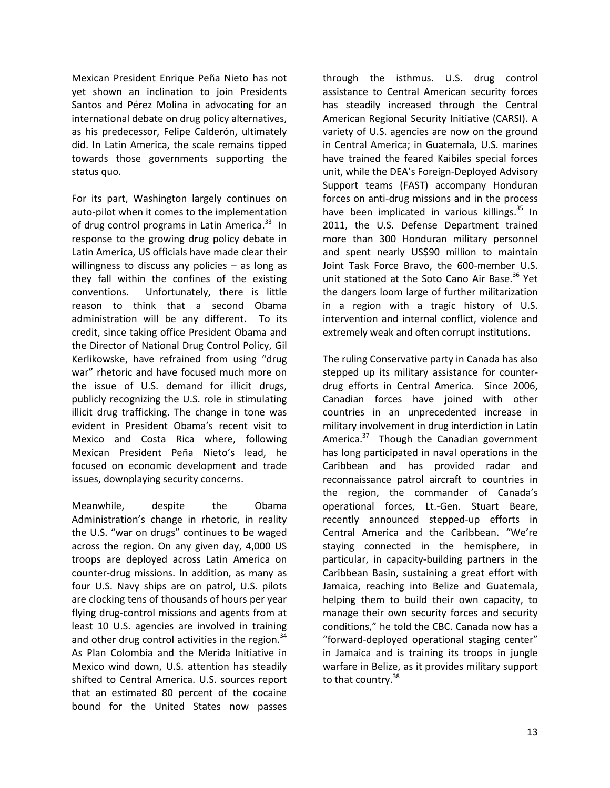Mexican President Enrique Peña Nieto has not yet shown an inclination to join Presidents Santos and Pérez Molina in advocating for an international debate on drug policy alternatives, as his predecessor, Felipe Calderón, ultimately did. In Latin America, the scale remains tipped towards those governments supporting the status quo.

For its part, Washington largely continues on auto-pilot when it comes to the implementation of drug control programs in Latin America.<sup>33</sup> In response to the growing drug policy debate in Latin America, US officials have made clear their willingness to discuss any policies – as long as they fall within the confines of the existing conventions. Unfortunately, there is little reason to think that a second Obama administration will be any different. To its credit, since taking office President Obama and the Director of National Drug Control Policy, Gil Kerlikowske, have refrained from using "drug war" rhetoric and have focused much more on the issue of U.S. demand for illicit drugs, publicly recognizing the U.S. role in stimulating illicit drug trafficking. The change in tone was evident in President Obama's recent visit to Mexico and Costa Rica where, following Mexican President Peña Nieto's lead, he focused on economic development and trade issues, downplaying security concerns.

Meanwhile, despite the Obama Administration's change in rhetoric, in reality the U.S. "war on drugs" continues to be waged across the region. On any given day, 4,000 US troops are deployed across Latin America on counter-drug missions. In addition, as many as four U.S. Navy ships are on patrol, U.S. pilots are clocking tens of thousands of hours per year flying drug-control missions and agents from at least 10 U.S. agencies are involved in training and other drug control activities in the region. $34$ As Plan Colombia and the Merida Initiative in Mexico wind down, U.S. attention has steadily shifted to Central America. U.S. sources report that an estimated 80 percent of the cocaine bound for the United States now passes

through the isthmus. U.S. drug control assistance to Central American security forces has steadily increased through the Central American Regional Security Initiative (CARSI). A variety of U.S. agencies are now on the ground in Central America; in Guatemala, U.S. marines have trained the feared Kaibiles special forces unit, while the DEA's Foreign-Deployed Advisory Support teams (FAST) accompany Honduran forces on anti-drug missions and in the process have been implicated in various killings.<sup>35</sup> In 2011, the U.S. Defense Department trained more than 300 Honduran military personnel and spent nearly US\$90 million to maintain Joint Task Force Bravo, the 600-member U.S. unit stationed at the Soto Cano Air Base.<sup>36</sup> Yet the dangers loom large of further militarization in a region with a tragic history of U.S. intervention and internal conflict, violence and extremely weak and often corrupt institutions.

The ruling Conservative party in Canada has also stepped up its military assistance for counterdrug efforts in Central America. Since 2006, Canadian forces have joined with other countries in an unprecedented increase in military involvement in drug interdiction in Latin America. $37$  Though the Canadian government has long participated in naval operations in the Caribbean and has provided radar and reconnaissance patrol aircraft to countries in the region, the commander of Canada's operational forces, Lt.-Gen. Stuart Beare, recently announced stepped-up efforts in Central America and the Caribbean. "We're staying connected in the hemisphere, in particular, in capacity-building partners in the Caribbean Basin, sustaining a great effort with Jamaica, reaching into Belize and Guatemala, helping them to build their own capacity, to manage their own security forces and security conditions," he told the CBC. Canada now has a "forward-deployed operational staging center" in Jamaica and is training its troops in jungle warfare in Belize, as it provides military support to that country.<sup>38</sup>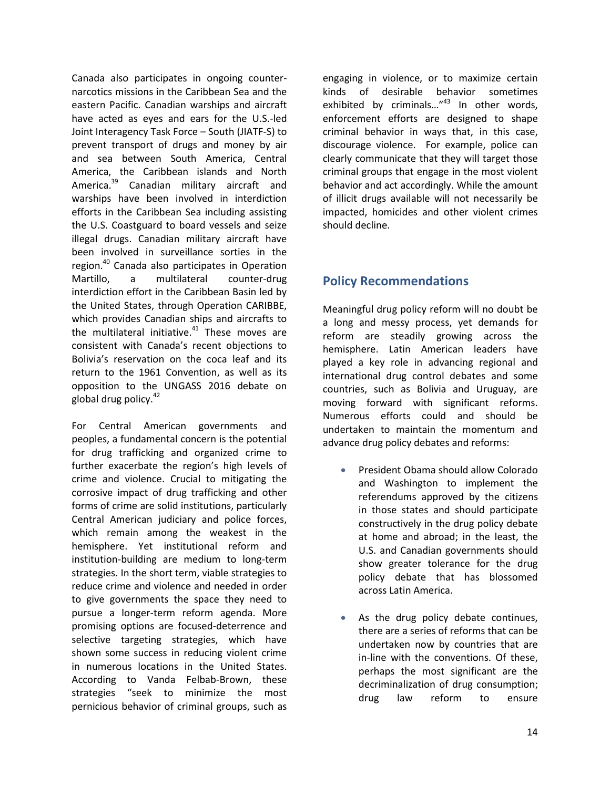Canada also participates in ongoing counternarcotics missions in the Caribbean Sea and the eastern Pacific. Canadian warships and aircraft have acted as eyes and ears for the U.S.-led Joint Interagency Task Force – South (JIATF-S) to prevent transport of drugs and money by air and sea between South America, Central America, the Caribbean islands and North America.<sup>39</sup> Canadian military aircraft and warships have been involved in interdiction efforts in the Caribbean Sea including assisting the U.S. Coastguard to board vessels and seize illegal drugs. Canadian military aircraft have been involved in surveillance sorties in the region.<sup>40</sup> Canada also participates in Operation Martillo, a multilateral counter-drug interdiction effort in the Caribbean Basin led by the United States, through Operation CARIBBE, which provides Canadian ships and aircrafts to the multilateral initiative. $41$  These moves are consistent with Canada's recent objections to Bolivia's reservation on the coca leaf and its return to the 1961 Convention, as well as its opposition to the UNGASS 2016 debate on global drug policy.<sup>42</sup>

For Central American governments and peoples, a fundamental concern is the potential for drug trafficking and organized crime to further exacerbate the region's high levels of crime and violence. Crucial to mitigating the corrosive impact of drug trafficking and other forms of crime are solid institutions, particularly Central American judiciary and police forces, which remain among the weakest in the hemisphere. Yet institutional reform and institution-building are medium to long-term strategies. In the short term, viable strategies to reduce crime and violence and needed in order to give governments the space they need to pursue a longer-term reform agenda. More promising options are focused-deterrence and selective targeting strategies, which have shown some success in reducing violent crime in numerous locations in the United States. According to Vanda Felbab-Brown, these strategies "seek to minimize the most pernicious behavior of criminal groups, such as engaging in violence, or to maximize certain kinds of desirable behavior sometimes exhibited by criminals..."<sup>43</sup> In other words, enforcement efforts are designed to shape criminal behavior in ways that, in this case, discourage violence. For example, police can clearly communicate that they will target those criminal groups that engage in the most violent behavior and act accordingly. While the amount of illicit drugs available will not necessarily be impacted, homicides and other violent crimes should decline.

## **Policy Recommendations**

Meaningful drug policy reform will no doubt be a long and messy process, yet demands for reform are steadily growing across the hemisphere. Latin American leaders have played a key role in advancing regional and international drug control debates and some countries, such as Bolivia and Uruguay, are moving forward with significant reforms. Numerous efforts could and should be undertaken to maintain the momentum and advance drug policy debates and reforms:

- President Obama should allow Colorado and Washington to implement the referendums approved by the citizens in those states and should participate constructively in the drug policy debate at home and abroad; in the least, the U.S. and Canadian governments should show greater tolerance for the drug policy debate that has blossomed across Latin America.
- As the drug policy debate continues, there are a series of reforms that can be undertaken now by countries that are in-line with the conventions. Of these, perhaps the most significant are the decriminalization of drug consumption; drug law reform to ensure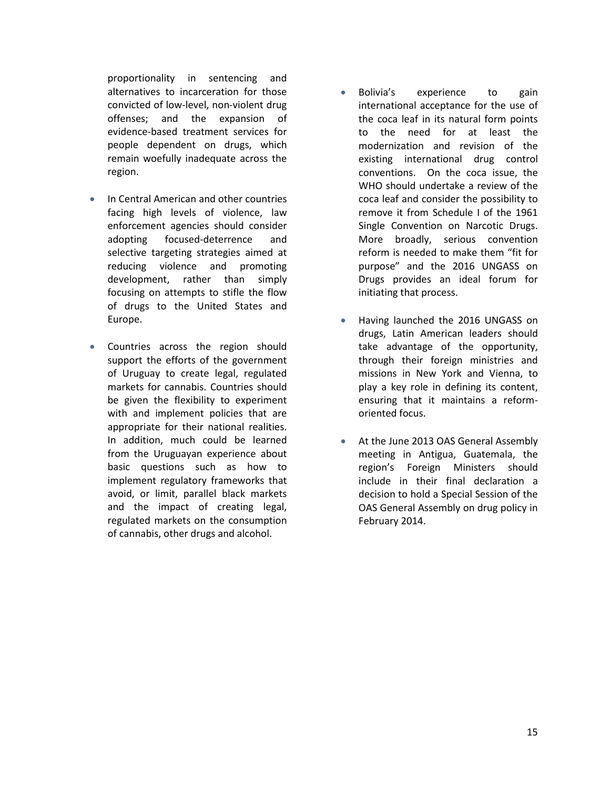proportionality in sentencing and alternatives to incarceration for those convicted of low-level, non-violent drug offenses; and the expansion of evidence-based treatment services for people dependent on drugs, which remain woefully inadequate across the region.

- In Central American and other countries facing high levels of violence, law enforcement agencies should consider adopting focused-deterrence and selective targeting strategies aimed at reducing violence and promoting development, rather than simply focusing on attempts to stifle the flow of drugs to the United States and Europe.
- Countries across the region should support the efforts of the government of Uruguay to create legal, regulated markets for cannabis. Countries should be given the flexibility to experiment with and implement policies that are appropriate for their national realities. In addition, much could be learned from the Uruguayan experience about basic questions such as how to implement regulatory frameworks that avoid, or limit, parallel black markets and the impact of creating legal, regulated markets on the consumption of cannabis, other drugs and alcohol.
- Bolivia's experience to gain international acceptance for the use of the coca leaf in its natural form points to the need for at least the modernization and revision of the existing international drug control conventions. On the coca issue, the WHO should undertake a review of the coca leaf and consider the possibility to remove it from Schedule I of the 1961 Single Convention on Narcotic Drugs. More broadly, serious convention reform is needed to make them "fit for purpose" and the 2016 UNGASS on Drugs provides an ideal forum for initiating that process.
- Having launched the 2016 UNGASS on drugs, Latin American leaders should take advantage of the opportunity, through their foreign ministries and missions in New York and Vienna, to play a key role in defining its content, ensuring that it maintains a reformoriented focus.
- At the June 2013 OAS General Assembly meeting in Antigua, Guatemala, the region's Foreign Ministers should include in their final declaration a decision to hold a Special Session of the OAS General Assembly on drug policy in February 2014.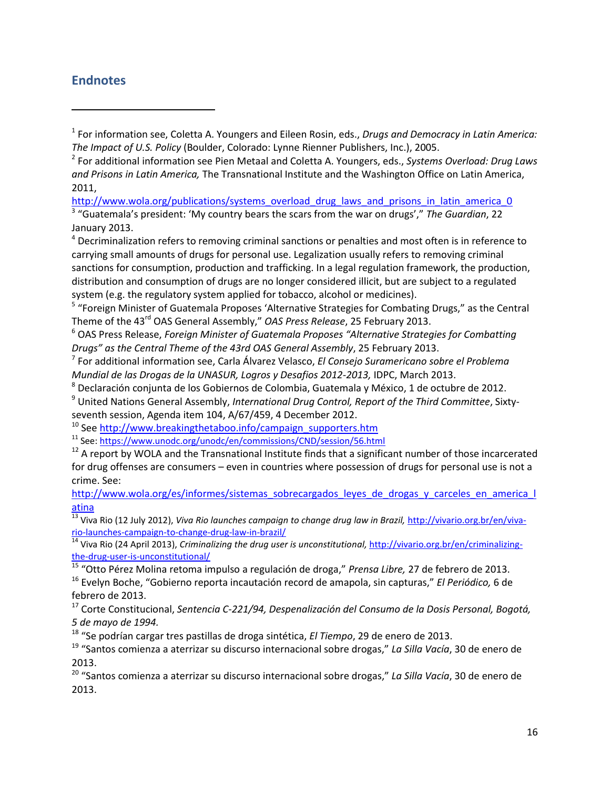## **Endnotes**

 $\overline{a}$ 

[http://www.wola.org/publications/systems\\_overload\\_drug\\_laws\\_and\\_prisons\\_in\\_latin\\_america\\_0](http://www.wola.org/publications/systems_overload_drug_laws_and_prisons_in_latin_america_0)

3 "Guatemala's president: 'My country bears the scars from the war on drugs'," *The Guardian*, 22 January 2013.

 $4$  Decriminalization refers to removing criminal sanctions or penalties and most often is in reference to carrying small amounts of drugs for personal use. Legalization usually refers to removing criminal sanctions for consumption, production and trafficking. In a legal regulation framework, the production, distribution and consumption of drugs are no longer considered illicit, but are subject to a regulated system (e.g. the regulatory system applied for tobacco, alcohol or medicines).

<sup>5</sup> "Foreign Minister of Guatemala Proposes 'Alternative Strategies for Combating Drugs," as the Central Theme of the 43rd OAS General Assembly," *OAS Press Release*, 25 February 2013.

<sup>6</sup> OAS Press Release, *Foreign Minister of Guatemala Proposes "Alternative Strategies for Combatting Drugs" as the Central Theme of the 43rd OAS General Assembly*, 25 February 2013.

7 For additional information see, Carla Álvarez Velasco, *El Consejo Suramericano sobre el Problema Mundial de las Drogas de la UNASUR, Logros y Desafios 2012-2013,* IDPC, March 2013.

 $8$  Declaración conjunta de los Gobiernos de Colombia, Guatemala y México, 1 de octubre de 2012.

<sup>9</sup> United Nations General Assembly, *International Drug Control, Report of the Third Committee*, Sixtyseventh session, Agenda item 104, A/67/459, 4 December 2012.

<sup>10</sup> See [http://www.breakingthetaboo.info/campaign\\_supporters.htm](http://www.breakingthetaboo.info/campaign_supporters.htm)

<sup>11</sup> See:<https://www.unodc.org/unodc/en/commissions/CND/session/56.html>

 $12$  A report by WOLA and the Transnational Institute finds that a significant number of those incarcerated for drug offenses are consumers – even in countries where possession of drugs for personal use is not a crime. See:

http://www.wola.org/es/informes/sistemas\_sobrecargados\_leyes\_de\_drogas\_v\_carceles\_en\_america\_l [atina](http://www.wola.org/es/informes/sistemas_sobrecargados_leyes_de_drogas_y_carceles_en_america_latina)

<sup>13</sup> Viva Rio (12 July 2012), *Viva Rio launches campaign to change drug law in Brazil,* [http://vivario.org.br/en/viva](http://vivario.org.br/en/viva-rio-launches-campaign-to-change-drug-law-in-brazil/)[rio-launches-campaign-to-change-drug-law-in-brazil/](http://vivario.org.br/en/viva-rio-launches-campaign-to-change-drug-law-in-brazil/)

<sup>14</sup> Viva Rio (24 April 2013), *Criminalizing the drug user is unconstitutional, <u>http://vivario.org.br/en/criminalizing</u>*[the-drug-user-is-unconstitutional/](http://vivario.org.br/en/criminalizing-the-drug-user-is-unconstitutional/)

<sup>15</sup> "Otto Pérez Molina retoma impulso a regulación de droga," *Prensa Libre,* 27 de febrero de 2013.

<sup>16</sup> Evelyn Boche, "Gobierno reporta incautación record de amapola, sin capturas," *El Periódico,* 6 de febrero de 2013.

<sup>17</sup> Corte Constitucional, *Sentencia C-221/94, Despenalización del Consumo de la Dosis Personal, Bogotá, 5 de mayo de 1994.*

<sup>18</sup> "Se podrían cargar tres pastillas de droga sintética, *El Tiempo*, 29 de enero de 2013.

<sup>19</sup> "Santos comienza a aterrizar su discurso internacional sobre drogas," *La Silla Vacía*, 30 de enero de 2013.

<sup>20</sup> "Santos comienza a aterrizar su discurso internacional sobre drogas," *La Silla Vacía*, 30 de enero de 2013.

<sup>1</sup> For information see, Coletta A. Youngers and Eileen Rosin, eds., *Drugs and Democracy in Latin America: The Impact of U.S. Policy* (Boulder, Colorado: Lynne Rienner Publishers, Inc.), 2005.

<sup>2</sup> For additional information see Pien Metaal and Coletta A. Youngers, eds., *Systems Overload: Drug Laws and Prisons in Latin America,* The Transnational Institute and the Washington Office on Latin America, 2011,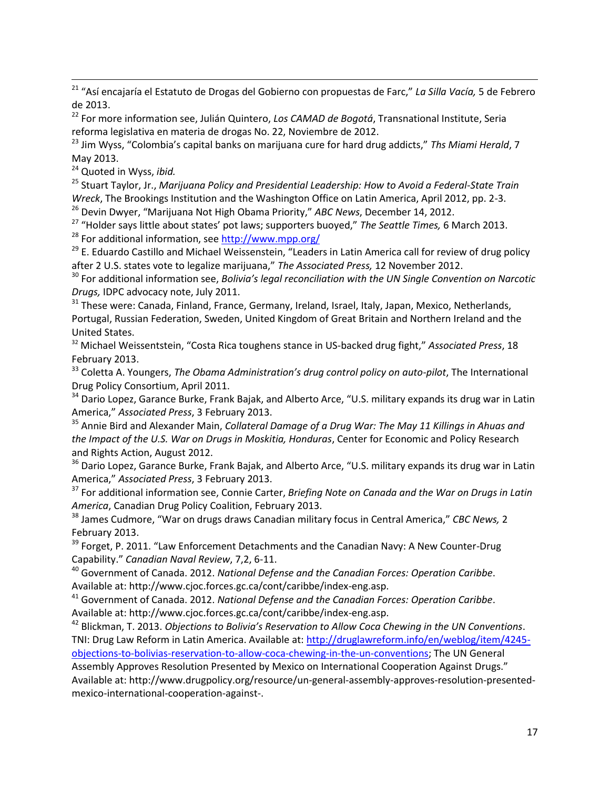<sup>21</sup> "Así encajaría el Estatuto de Drogas del Gobierno con propuestas de Farc," *La Silla Vacía,* 5 de Febrero de 2013.

<sup>22</sup> For more information see, Julián Quintero, *Los CAMAD de Bogotá*, Transnational Institute, Seria reforma legislativa en materia de drogas No. 22, Noviembre de 2012.

<sup>23</sup> Jim Wyss, "Colombia's capital banks on marijuana cure for hard drug addicts," *Ths Miami Herald*, 7 May 2013.

<sup>24</sup> Quoted in Wyss, *ibid.*

 $\overline{\phantom{a}}$ 

<sup>25</sup> Stuart Taylor, Jr., *Marijuana Policy and Presidential Leadership: How to Avoid a Federal-State Train Wreck*, The Brookings Institution and the Washington Office on Latin America, April 2012, pp. 2-3. <sup>26</sup> Devin Dwyer, "Marijuana Not High Obama Priority," *ABC News*, December 14, 2012.

<sup>27</sup> "Holder says little about states' pot laws; supporters buoyed," *The Seattle Times,* 6 March 2013. <sup>28</sup> For additional information, see<http://www.mpp.org/>

<sup>29</sup> E. Eduardo Castillo and Michael Weissenstein, "Leaders in Latin America call for review of drug policy after 2 U.S. states vote to legalize marijuana," *The Associated Press,* 12 November 2012.

<sup>30</sup> For additional information see, *Bolivia's legal reconciliation with the UN Single Convention on Narcotic Drugs,* IDPC advocacy note, July 2011.

<sup>31</sup> These were: Canada, Finland, France, Germany, Ireland, Israel, Italy, Japan, Mexico, Netherlands, Portugal, Russian Federation, Sweden, United Kingdom of Great Britain and Northern Ireland and the United States.

<sup>32</sup> Michael Weissentstein, "Costa Rica toughens stance in US-backed drug fight," *Associated Press*, 18 February 2013.

<sup>33</sup> Coletta A. Youngers, *The Obama Administration's drug control policy on auto-pilot*, The International Drug Policy Consortium, April 2011.

<sup>34</sup> Dario Lopez, Garance Burke, Frank Bajak, and Alberto Arce, "U.S. military expands its drug war in Latin America," *Associated Press*, 3 February 2013.

<sup>35</sup> Annie Bird and Alexander Main, *Collateral Damage of a Drug War: The May 11 Killings in Ahuas and the Impact of the U.S. War on Drugs in Moskitia, Honduras*, Center for Economic and Policy Research and Rights Action, August 2012.

<sup>36</sup> Dario Lopez, Garance Burke, Frank Bajak, and Alberto Arce, "U.S. military expands its drug war in Latin America," *Associated Press*, 3 February 2013.

<sup>37</sup> For additional information see, Connie Carter, *Briefing Note on Canada and the War on Drugs in Latin America*, Canadian Drug Policy Coalition, February 2013.

<sup>38</sup> James Cudmore, "War on drugs draws Canadian military focus in Central America," *CBC News,* 2 February 2013.

 $39$  Forget, P. 2011. "Law Enforcement Detachments and the Canadian Navy: A New Counter-Drug Capability." *Canadian Naval Review*, 7,2, 6-11.

<sup>40</sup> Government of Canada. 2012. *National Defense and the Canadian Forces: Operation Caribbe*. Available at: http://www.cjoc.forces.gc.ca/cont/caribbe/index-eng.asp.

<sup>41</sup> Government of Canada. 2012. *National Defense and the Canadian Forces: Operation Caribbe*. Available at: http://www.cjoc.forces.gc.ca/cont/caribbe/index-eng.asp.

<sup>42</sup> Blickman, T. 2013. *Objections to Bolivia's Reservation to Allow Coca Chewing in the UN Conventions*. TNI: Drug Law Reform in Latin America. Available at[: http://druglawreform.info/en/weblog/item/4245](http://druglawreform.info/en/weblog/item/4245-objections-to-bolivias-reservation-to-allow-coca-chewing-in-the-un-conventions) [objections-to-bolivias-reservation-to-allow-coca-chewing-in-the-un-conventions;](http://druglawreform.info/en/weblog/item/4245-objections-to-bolivias-reservation-to-allow-coca-chewing-in-the-un-conventions) The UN General

Assembly Approves Resolution Presented by Mexico on International Cooperation Against Drugs." Available at: http://www.drugpolicy.org/resource/un-general-assembly-approves-resolution-presentedmexico-international-cooperation-against-.